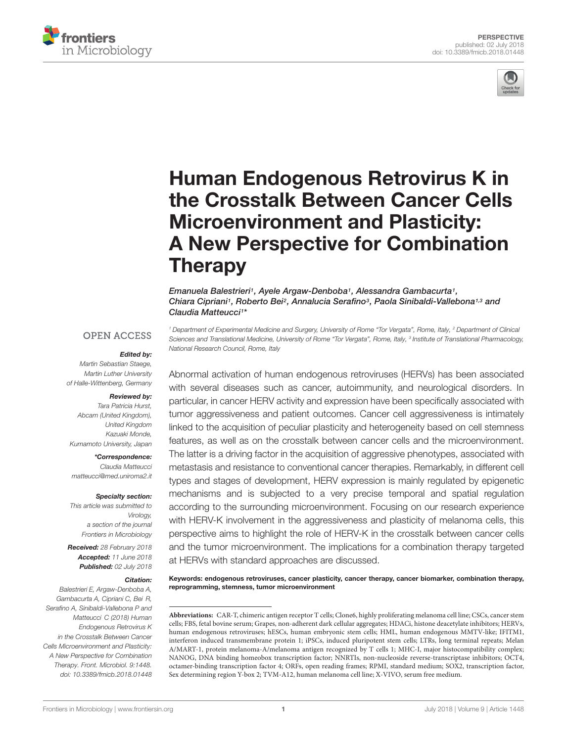



# Human Endogenous Retrovirus K in [the Crosstalk Between Cancer Cells](https://www.frontiersin.org/articles/10.3389/fmicb.2018.01448/full) Microenvironment and Plasticity: A New Perspective for Combination Therapy

Emanuela Balestrieri1, [Ayele Argaw-Denboba](http://loop.frontiersin.org/people/578179/overview)1, [Alessandra Gambacurta](http://loop.frontiersin.org/people/537403/overview)1, Chiara Cipriani<sup>1</sup>, [Roberto Bei](http://loop.frontiersin.org/people/380543/overview)<sup>2</sup>, [Annalucia Serafino](http://loop.frontiersin.org/people/478390/overview)<sup>3</sup>, Paola Sinibaldi-Vallebona<sup>1,3</sup> and [Claudia Matteucci](http://loop.frontiersin.org/people/157985/overview)<sup>1\*</sup>

### **OPEN ACCESS**

#### Edited by:

Martin Sebastian Staege Martin Luther University of Halle-Wittenberg, Germany

### Reviewed by:

Tara Patricia Hurst, Abcam (United Kingdom), United Kingdom Kazuaki Monde, Kumamoto University, Japan

\*Correspondence:

Claudia Matteucci matteucci@med.uniroma2.it

#### Specialty section:

This article was submitted to Virology, a section of the journal Frontiers in Microbiology

Received: 28 February 2018 Accepted: 11 June 2018 Published: 02 July 2018

#### Citation:

Balestrieri E, Argaw-Denboba A, Gambacurta A, Cipriani C, Bei R, Serafino A, Sinibaldi-Vallebona P and Matteucci C (2018) Human Endogenous Retrovirus K in the Crosstalk Between Cancer Cells Microenvironment and Plasticity: A New Perspective for Combination Therapy. Front. Microbiol. 9:1448. doi: [10.3389/fmicb.2018.01448](https://doi.org/10.3389/fmicb.2018.01448)

<sup>1</sup> Department of Experimental Medicine and Surgery, University of Rome "Tor Vergata", Rome, Italy, <sup>2</sup> Department of Clinical Sciences and Translational Medicine, University of Rome "Tor Vergata", Rome, Italy, <sup>3</sup> Institute of Translational Pharmacology, National Research Council, Rome, Italy

Abnormal activation of human endogenous retroviruses (HERVs) has been associated with several diseases such as cancer, autoimmunity, and neurological disorders. In particular, in cancer HERV activity and expression have been specifically associated with tumor aggressiveness and patient outcomes. Cancer cell aggressiveness is intimately linked to the acquisition of peculiar plasticity and heterogeneity based on cell stemness features, as well as on the crosstalk between cancer cells and the microenvironment. The latter is a driving factor in the acquisition of aggressive phenotypes, associated with metastasis and resistance to conventional cancer therapies. Remarkably, in different cell types and stages of development, HERV expression is mainly regulated by epigenetic mechanisms and is subjected to a very precise temporal and spatial regulation according to the surrounding microenvironment. Focusing on our research experience with HERV-K involvement in the aggressiveness and plasticity of melanoma cells, this perspective aims to highlight the role of HERV-K in the crosstalk between cancer cells and the tumor microenvironment. The implications for a combination therapy targeted at HERVs with standard approaches are discussed.

Keywords: endogenous retroviruses, cancer plasticity, cancer therapy, cancer biomarker, combination therapy, reprogramming, stemness, tumor microenvironment

**Abbreviations:** CAR-T, chimeric antigen receptor T cells; Clone6, highly proliferating melanoma cell line; CSCs, cancer stem cells; FBS, fetal bovine serum; Grapes, non-adherent dark cellular aggregates; HDACi, histone deacetylate inhibitors; HERVs, human endogenous retroviruses; hESCs, human embryonic stem cells; HML, human endogenous MMTV-like; IFITM1, interferon induced transmembrane protein 1; iPSCs, induced pluripotent stem cells; LTRs, long terminal repeats; Melan A/MART-1, protein melanoma-A/melanoma antigen recognized by T cells 1; MHC-I, major histocompatibility complex; NANOG, DNA binding homeobox transcription factor; NNRTIs, non-nucleoside reverse-transcriptase inhibitors; OCT4, octamer-binding transcription factor 4; ORFs, open reading frames; RPMI, standard medium; SOX2, transcription factor, Sex determining region Y-box 2; TVM-A12, human melanoma cell line; X-VIVO, serum free medium.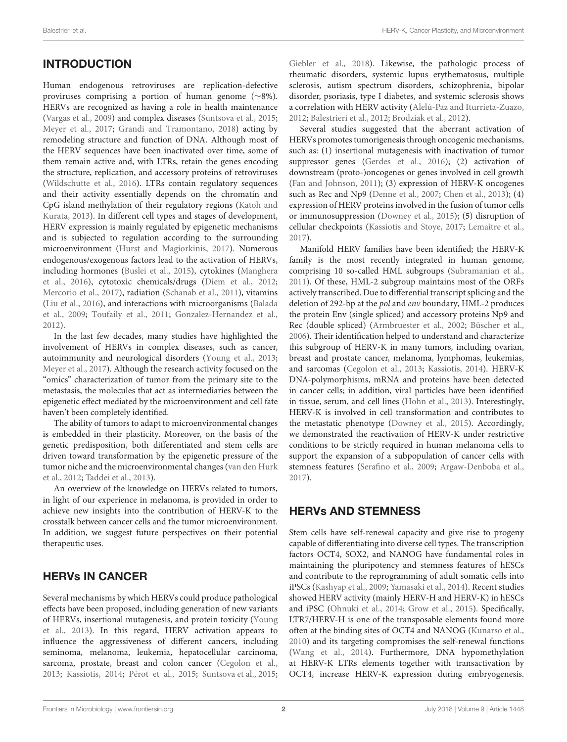# INTRODUCTION

Human endogenous retroviruses are replication-defective proviruses comprising a portion of human genome (∼8%). HERVs are recognized as having a role in health maintenance [\(Vargas et al.,](#page-7-0) [2009\)](#page-7-0) and complex diseases [\(Suntsova et al.,](#page-7-1) [2015;](#page-7-1) [Meyer et al.,](#page-6-0) [2017;](#page-6-0) [Grandi and Tramontano,](#page-6-1) [2018\)](#page-6-1) acting by remodeling structure and function of DNA. Although most of the HERV sequences have been inactivated over time, some of them remain active and, with LTRs, retain the genes encoding the structure, replication, and accessory proteins of retroviruses [\(Wildschutte et al.,](#page-7-2) [2016\)](#page-7-2). LTRs contain regulatory sequences and their activity essentially depends on the chromatin and CpG island methylation of their regulatory regions [\(Katoh and](#page-6-2) [Kurata,](#page-6-2) [2013\)](#page-6-2). In different cell types and stages of development, HERV expression is mainly regulated by epigenetic mechanisms and is subjected to regulation according to the surrounding microenvironment [\(Hurst and Magiorkinis,](#page-6-3) [2017\)](#page-6-3). Numerous endogenous/exogenous factors lead to the activation of HERVs, including hormones [\(Buslei et al.,](#page-5-0) [2015\)](#page-5-0), cytokines [\(Manghera](#page-6-4) [et al.,](#page-6-4) [2016\)](#page-6-4), cytotoxic chemicals/drugs [\(Diem et al.,](#page-6-5) [2012;](#page-6-5) [Mercorio et al.,](#page-6-6) [2017\)](#page-6-6), radiation [\(Schanab et al.,](#page-7-3) [2011\)](#page-7-3), vitamins [\(Liu et al.,](#page-6-7) [2016\)](#page-6-7), and interactions with microorganisms [\(Balada](#page-5-1) [et al.,](#page-5-1) [2009;](#page-5-1) [Toufaily et al.,](#page-7-4) [2011;](#page-7-4) [Gonzalez-Hernandez et al.,](#page-6-8) [2012\)](#page-6-8).

In the last few decades, many studies have highlighted the involvement of HERVs in complex diseases, such as cancer, autoimmunity and neurological disorders [\(Young et al.,](#page-7-5) [2013;](#page-7-5) [Meyer et al.,](#page-6-0) [2017\)](#page-6-0). Although the research activity focused on the "omics" characterization of tumor from the primary site to the metastasis, the molecules that act as intermediaries between the epigenetic effect mediated by the microenvironment and cell fate haven't been completely identified.

The ability of tumors to adapt to microenvironmental changes is embedded in their plasticity. Moreover, on the basis of the genetic predisposition, both differentiated and stem cells are driven toward transformation by the epigenetic pressure of the tumor niche and the microenvironmental changes [\(van den Hurk](#page-7-6) [et al.,](#page-7-6) [2012;](#page-7-6) [Taddei et al.,](#page-7-7) [2013\)](#page-7-7).

An overview of the knowledge on HERVs related to tumors, in light of our experience in melanoma, is provided in order to achieve new insights into the contribution of HERV-K to the crosstalk between cancer cells and the tumor microenvironment. In addition, we suggest future perspectives on their potential therapeutic uses.

# HERVs IN CANCER

Several mechanisms by which HERVs could produce pathological effects have been proposed, including generation of new variants of HERVs, insertional mutagenesis, and protein toxicity [\(Young](#page-7-5) [et al.,](#page-7-5) [2013\)](#page-7-5). In this regard, HERV activation appears to influence the aggressiveness of different cancers, including seminoma, melanoma, leukemia, hepatocellular carcinoma, sarcoma, prostate, breast and colon cancer [\(Cegolon et al.,](#page-5-2) [2013;](#page-5-2) [Kassiotis,](#page-6-9) [2014;](#page-6-9) [Pérot et al.,](#page-6-10) [2015;](#page-6-10) [Suntsova et al.,](#page-7-1) [2015;](#page-7-1) [Giebler et al.,](#page-6-11) [2018\)](#page-6-11). Likewise, the pathologic process of rheumatic disorders, systemic lupus erythematosus, multiple sclerosis, autism spectrum disorders, schizophrenia, bipolar disorder, psoriasis, type I diabetes, and systemic sclerosis shows a correlation with HERV activity [\(Alelú-Paz and Iturrieta-Zuazo,](#page-5-3) [2012;](#page-5-3) [Balestrieri et al.,](#page-5-4) [2012;](#page-5-4) [Brodziak et al.,](#page-5-5) [2012\)](#page-5-5).

Several studies suggested that the aberrant activation of HERVs promotes tumorigenesis through oncogenic mechanisms, such as: (1) insertional mutagenesis with inactivation of tumor suppressor genes [\(Gerdes et al.,](#page-6-12) [2016\)](#page-6-12); (2) activation of downstream (proto-)oncogenes or genes involved in cell growth [\(Fan and Johnson,](#page-6-13) [2011\)](#page-6-13); (3) expression of HERV-K oncogenes such as Rec and Np9 [\(Denne et al.,](#page-6-14) [2007;](#page-6-14) [Chen et al.,](#page-5-6) [2013\)](#page-5-6); (4) expression of HERV proteins involved in the fusion of tumor cells or immunosuppression [\(Downey et al.,](#page-6-15) [2015\)](#page-6-15); (5) disruption of cellular checkpoints [\(Kassiotis and Stoye,](#page-6-16) [2017;](#page-6-16) [Lemaître et al.,](#page-6-17) [2017\)](#page-6-17).

Manifold HERV families have been identified; the HERV-K family is the most recently integrated in human genome, comprising 10 so-called HML subgroups [\(Subramanian et al.,](#page-7-8) [2011\)](#page-7-8). Of these, HML-2 subgroup maintains most of the ORFs actively transcribed. Due to differential transcript splicing and the deletion of 292-bp at the pol and env boundary, HML-2 produces the protein Env (single spliced) and accessory proteins Np9 and Rec (double spliced) [\(Armbruester et al.,](#page-5-7) [2002;](#page-5-7) [Büscher et al.,](#page-5-8) [2006\)](#page-5-8). Their identification helped to understand and characterize this subgroup of HERV-K in many tumors, including ovarian, breast and prostate cancer, melanoma, lymphomas, leukemias, and sarcomas [\(Cegolon et al.,](#page-5-2) [2013;](#page-5-2) [Kassiotis,](#page-6-9) [2014\)](#page-6-9). HERV-K DNA-polymorphisms, mRNA and proteins have been detected in cancer cells; in addition, viral particles have been identified in tissue, serum, and cell lines [\(Hohn et al.,](#page-6-18) [2013\)](#page-6-18). Interestingly, HERV-K is involved in cell transformation and contributes to the metastatic phenotype [\(Downey et al.,](#page-6-15) [2015\)](#page-6-15). Accordingly, we demonstrated the reactivation of HERV-K under restrictive conditions to be strictly required in human melanoma cells to support the expansion of a subpopulation of cancer cells with stemness features [\(Serafino et al.,](#page-7-9) [2009;](#page-7-9) [Argaw-Denboba et al.,](#page-5-9) [2017\)](#page-5-9).

# HERVs AND STEMNESS

Stem cells have self-renewal capacity and give rise to progeny capable of differentiating into diverse cell types. The transcription factors OCT4, SOX2, and NANOG have fundamental roles in maintaining the pluripotency and stemness features of hESCs and contribute to the reprogramming of adult somatic cells into iPSCs [\(Kashyap et al.,](#page-6-19) [2009;](#page-6-19) [Yamasaki et al.,](#page-7-10) [2014\)](#page-7-10). Recent studies showed HERV activity (mainly HERV-H and HERV-K) in hESCs and iPSC [\(Ohnuki et al.,](#page-6-20) [2014;](#page-6-20) [Grow et al.,](#page-6-21) [2015\)](#page-6-21). Specifically, LTR7/HERV-H is one of the transposable elements found more often at the binding sites of OCT4 and NANOG [\(Kunarso et al.,](#page-6-22) [2010\)](#page-6-22) and its targeting compromises the self-renewal functions [\(Wang et al.,](#page-7-11) [2014\)](#page-7-11). Furthermore, DNA hypomethylation at HERV-K LTRs elements together with transactivation by OCT4, increase HERV-K expression during embryogenesis.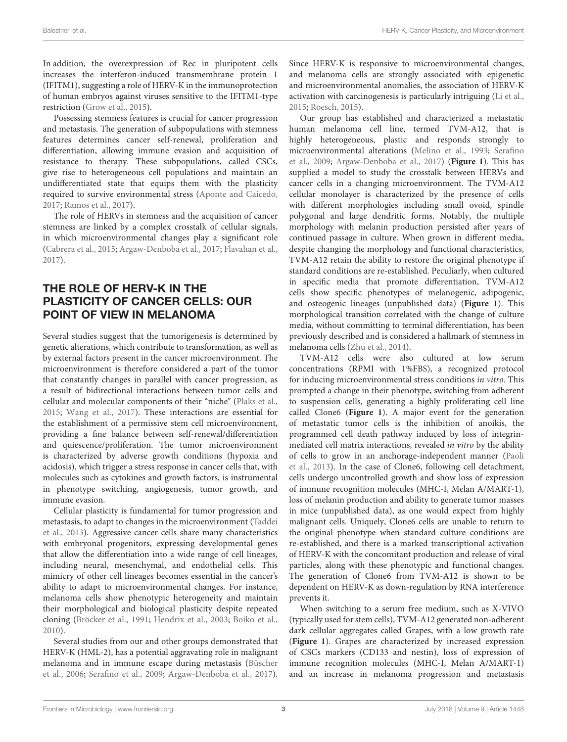In addition, the overexpression of Rec in pluripotent cells increases the interferon-induced transmembrane protein 1 (IFITM1), suggesting a role of HERV-K in the immunoprotection of human embryos against viruses sensitive to the IFITM1-type restriction [\(Grow et al.,](#page-6-21) [2015\)](#page-6-21).

Possessing stemness features is crucial for cancer progression and metastasis. The generation of subpopulations with stemness features determines cancer self-renewal, proliferation and differentiation, allowing immune evasion and acquisition of resistance to therapy. These subpopulations, called CSCs, give rise to heterogeneous cell populations and maintain an undifferentiated state that equips them with the plasticity required to survive environmental stress [\(Aponte and Caicedo,](#page-5-10) [2017;](#page-5-10) [Ramos et al.,](#page-6-23) [2017\)](#page-6-23).

The role of HERVs in stemness and the acquisition of cancer stemness are linked by a complex crosstalk of cellular signals, in which microenvironmental changes play a significant role [\(Cabrera et al.,](#page-5-11) [2015;](#page-5-11) [Argaw-Denboba et al.,](#page-5-9) [2017;](#page-5-9) [Flavahan et al.,](#page-6-24) [2017\)](#page-6-24).

# THE ROLE OF HERV-K IN THE PLASTICITY OF CANCER CELLS: OUR POINT OF VIEW IN MELANOMA

Several studies suggest that the tumorigenesis is determined by genetic alterations, which contribute to transformation, as well as by external factors present in the cancer microenvironment. The microenvironment is therefore considered a part of the tumor that constantly changes in parallel with cancer progression, as a result of bidirectional interactions between tumor cells and cellular and molecular components of their "niche" [\(Plaks et al.,](#page-6-25) [2015;](#page-6-25) [Wang et al.,](#page-7-12) [2017\)](#page-7-12). These interactions are essential for the establishment of a permissive stem cell microenvironment, providing a fine balance between self-renewal/differentiation and quiescence/proliferation. The tumor microenvironment is characterized by adverse growth conditions (hypoxia and acidosis), which trigger a stress response in cancer cells that, with molecules such as cytokines and growth factors, is instrumental in phenotype switching, angiogenesis, tumor growth, and immune evasion.

Cellular plasticity is fundamental for tumor progression and metastasis, to adapt to changes in the microenvironment [\(Taddei](#page-7-7) [et al.,](#page-7-7) [2013\)](#page-7-7). Aggressive cancer cells share many characteristics with embryonal progenitors, expressing developmental genes that allow the differentiation into a wide range of cell lineages, including neural, mesenchymal, and endothelial cells. This mimicry of other cell lineages becomes essential in the cancer's ability to adapt to microenvironmental changes. For instance, melanoma cells show phenotypic heterogeneity and maintain their morphological and biological plasticity despite repeated cloning [\(Bröcker et al.,](#page-5-12) [1991;](#page-5-12) [Hendrix et al.,](#page-6-26) [2003;](#page-6-26) [Boiko et al.,](#page-5-13) [2010\)](#page-5-13).

Several studies from our and other groups demonstrated that HERV-K (HML-2), has a potential aggravating role in malignant melanoma and in immune escape during metastasis [\(Büscher](#page-5-8) [et al.,](#page-5-8) [2006;](#page-5-8) [Serafino et al.,](#page-7-9) [2009;](#page-7-9) [Argaw-Denboba et al.,](#page-5-9) [2017\)](#page-5-9). Since HERV-K is responsive to microenvironmental changes, and melanoma cells are strongly associated with epigenetic and microenvironmental anomalies, the association of HERV-K activation with carcinogenesis is particularly intriguing [\(Li et al.,](#page-6-27) [2015;](#page-6-27) [Roesch,](#page-7-13) [2015\)](#page-7-13).

Our group has established and characterized a metastatic human melanoma cell line, termed TVM-A12, that is highly heterogeneous, plastic and responds strongly to microenvironmental alterations [\(Melino et al.,](#page-6-28) [1993;](#page-6-28) [Serafino](#page-7-9) [et al.,](#page-7-9) [2009;](#page-7-9) [Argaw-Denboba et al.,](#page-5-9) [2017\)](#page-5-9) (**[Figure 1](#page-3-0)**). This has supplied a model to study the crosstalk between HERVs and cancer cells in a changing microenvironment. The TVM-A12 cellular monolayer is characterized by the presence of cells with different morphologies including small ovoid, spindle polygonal and large dendritic forms. Notably, the multiple morphology with melanin production persisted after years of continued passage in culture. When grown in different media, despite changing the morphology and functional characteristics, TVM-A12 retain the ability to restore the original phenotype if standard conditions are re-established. Peculiarly, when cultured in specific media that promote differentiation, TVM-A12 cells show specific phenotypes of melanogenic, adipogenic, and osteogenic lineages (unpublished data) (**[Figure 1](#page-3-0)**). This morphological transition correlated with the change of culture media, without committing to terminal differentiation, has been previously described and is considered a hallmark of stemness in melanoma cells [\(Zhu et al.,](#page-7-14) [2014\)](#page-7-14).

TVM-A12 cells were also cultured at low serum concentrations (RPMI with 1%FBS), a recognized protocol for inducing microenvironmental stress conditions in vitro. This prompted a change in their phenotype, switching from adherent to suspension cells, generating a highly proliferating cell line called Clone6 (**[Figure 1](#page-3-0)**). A major event for the generation of metastatic tumor cells is the inhibition of anoikis, the programmed cell death pathway induced by loss of integrinmediated cell matrix interactions, revealed in vitro by the ability of cells to grow in an anchorage-independent manner [\(Paoli](#page-6-29) [et al.,](#page-6-29) [2013\)](#page-6-29). In the case of Clone6, following cell detachment, cells undergo uncontrolled growth and show loss of expression of immune recognition molecules (MHC-I, Melan A/MART-1), loss of melanin production and ability to generate tumor masses in mice (unpublished data), as one would expect from highly malignant cells. Uniquely, Clone6 cells are unable to return to the original phenotype when standard culture conditions are re-established, and there is a marked transcriptional activation of HERV-K with the concomitant production and release of viral particles, along with these phenotypic and functional changes. The generation of Clone6 from TVM-A12 is shown to be dependent on HERV-K as down-regulation by RNA interference prevents it.

When switching to a serum free medium, such as X-VIVO (typically used for stem cells), TVM-A12 generated non-adherent dark cellular aggregates called Grapes, with a low growth rate (**[Figure 1](#page-3-0)**). Grapes are characterized by increased expression of CSCs markers (CD133 and nestin), loss of expression of immune recognition molecules (MHC-I, Melan A/MART-1) and an increase in melanoma progression and metastasis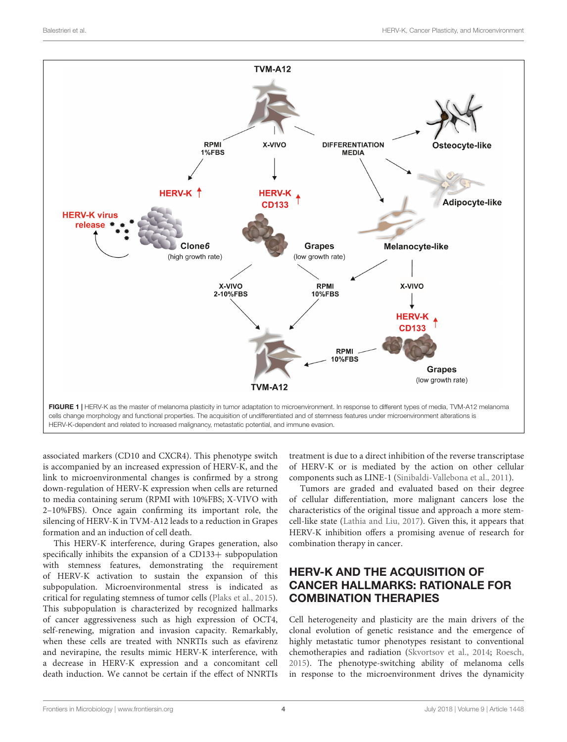

<span id="page-3-0"></span>associated markers (CD10 and CXCR4). This phenotype switch is accompanied by an increased expression of HERV-K, and the link to microenvironmental changes is confirmed by a strong down-regulation of HERV-K expression when cells are returned to media containing serum (RPMI with 10%FBS; X-VIVO with 2–10%FBS). Once again confirming its important role, the silencing of HERV-K in TVM-A12 leads to a reduction in Grapes formation and an induction of cell death.

This HERV-K interference, during Grapes generation, also specifically inhibits the expansion of a CD133+ subpopulation with stemness features, demonstrating the requirement of HERV-K activation to sustain the expansion of this subpopulation. Microenvironmental stress is indicated as critical for regulating stemness of tumor cells [\(Plaks et al.,](#page-6-25) [2015\)](#page-6-25). This subpopulation is characterized by recognized hallmarks of cancer aggressiveness such as high expression of OCT4, self-renewing, migration and invasion capacity. Remarkably, when these cells are treated with NNRTIs such as efavirenz and nevirapine, the results mimic HERV-K interference, with a decrease in HERV-K expression and a concomitant cell death induction. We cannot be certain if the effect of NNRTIs treatment is due to a direct inhibition of the reverse transcriptase of HERV-K or is mediated by the action on other cellular components such as LINE-1 [\(Sinibaldi-Vallebona et al.,](#page-7-15) [2011\)](#page-7-15).

Tumors are graded and evaluated based on their degree of cellular differentiation, more malignant cancers lose the characteristics of the original tissue and approach a more stemcell-like state [\(Lathia and Liu,](#page-6-30) [2017\)](#page-6-30). Given this, it appears that HERV-K inhibition offers a promising avenue of research for combination therapy in cancer.

# HERV-K AND THE ACQUISITION OF CANCER HALLMARKS: RATIONALE FOR COMBINATION THERAPIES

Cell heterogeneity and plasticity are the main drivers of the clonal evolution of genetic resistance and the emergence of highly metastatic tumor phenotypes resistant to conventional chemotherapies and radiation [\(Skvortsov et al.,](#page-7-16) [2014;](#page-7-16) [Roesch,](#page-7-13) [2015\)](#page-7-13). The phenotype-switching ability of melanoma cells in response to the microenvironment drives the dynamicity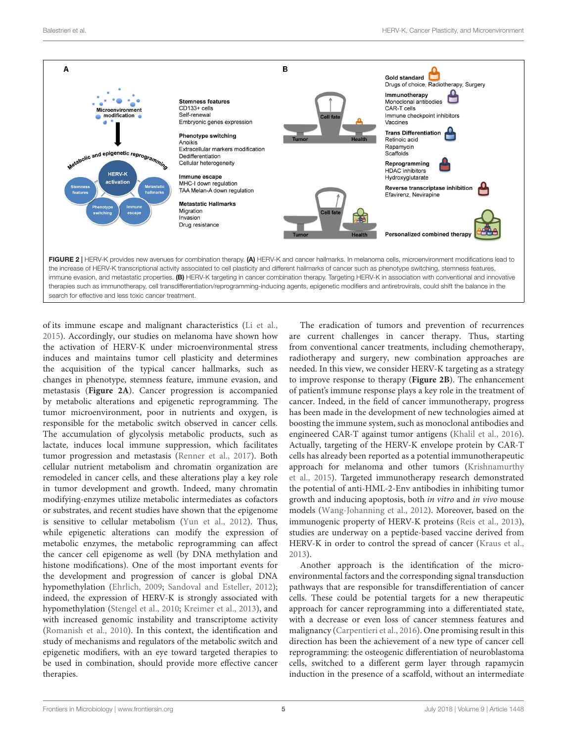

<span id="page-4-0"></span>

of its immune escape and malignant characteristics [\(Li et al.,](#page-6-27) [2015\)](#page-6-27). Accordingly, our studies on melanoma have shown how the activation of HERV-K under microenvironmental stress induces and maintains tumor cell plasticity and determines the acquisition of the typical cancer hallmarks, such as changes in phenotype, stemness feature, immune evasion, and metastasis (**[Figure 2A](#page-4-0)**). Cancer progression is accompanied by metabolic alterations and epigenetic reprogramming. The tumor microenvironment, poor in nutrients and oxygen, is responsible for the metabolic switch observed in cancer cells. The accumulation of glycolysis metabolic products, such as lactate, induces local immune suppression, which facilitates tumor progression and metastasis [\(Renner et al.,](#page-7-17) [2017\)](#page-7-17). Both cellular nutrient metabolism and chromatin organization are remodeled in cancer cells, and these alterations play a key role in tumor development and growth. Indeed, many chromatin modifying-enzymes utilize metabolic intermediates as cofactors or substrates, and recent studies have shown that the epigenome is sensitive to cellular metabolism [\(Yun et al.,](#page-7-18) [2012\)](#page-7-18). Thus, while epigenetic alterations can modify the expression of metabolic enzymes, the metabolic reprogramming can affect the cancer cell epigenome as well (by DNA methylation and histone modifications). One of the most important events for the development and progression of cancer is global DNA hypomethylation [\(Ehrlich,](#page-6-31) [2009;](#page-6-31) [Sandoval and Esteller,](#page-7-19) [2012\)](#page-7-19); indeed, the expression of HERV-K is strongly associated with hypomethylation [\(Stengel et al.,](#page-7-20) [2010;](#page-7-20) [Kreimer et al.,](#page-6-32) [2013\)](#page-6-32), and with increased genomic instability and transcriptome activity [\(Romanish et al.,](#page-7-21) [2010\)](#page-7-21). In this context, the identification and study of mechanisms and regulators of the metabolic switch and epigenetic modifiers, with an eye toward targeted therapies to be used in combination, should provide more effective cancer therapies.

The eradication of tumors and prevention of recurrences are current challenges in cancer therapy. Thus, starting from conventional cancer treatments, including chemotherapy, radiotherapy and surgery, new combination approaches are needed. In this view, we consider HERV-K targeting as a strategy to improve response to therapy (**[Figure 2B](#page-4-0)**). The enhancement of patient's immune response plays a key role in the treatment of cancer. Indeed, in the field of cancer immunotherapy, progress has been made in the development of new technologies aimed at boosting the immune system, such as monoclonal antibodies and engineered CAR-T against tumor antigens [\(Khalil et al.,](#page-6-33) [2016\)](#page-6-33). Actually, targeting of the HERV-K envelope protein by CAR-T cells has already been reported as a potential immunotherapeutic approach for melanoma and other tumors [\(Krishnamurthy](#page-6-34) [et al.,](#page-6-34) [2015\)](#page-6-34). Targeted immunotherapy research demonstrated the potential of anti-HML-2-Env antibodies in inhibiting tumor growth and inducing apoptosis, both in vitro and in vivo mouse models [\(Wang-Johanning et al.,](#page-7-22) [2012\)](#page-7-22). Moreover, based on the immunogenic property of HERV-K proteins [\(Reis et al.,](#page-6-35) [2013\)](#page-6-35), studies are underway on a peptide-based vaccine derived from HERV-K in order to control the spread of cancer [\(Kraus et al.,](#page-6-36) [2013\)](#page-6-36).

Another approach is the identification of the microenvironmental factors and the corresponding signal transduction pathways that are responsible for transdifferentiation of cancer cells. These could be potential targets for a new therapeutic approach for cancer reprogramming into a differentiated state, with a decrease or even loss of cancer stemness features and malignancy [\(Carpentieri et al.,](#page-5-14) [2016\)](#page-5-14). One promising result in this direction has been the achievement of a new type of cancer cell reprogramming: the osteogenic differentiation of neuroblastoma cells, switched to a different germ layer through rapamycin induction in the presence of a scaffold, without an intermediate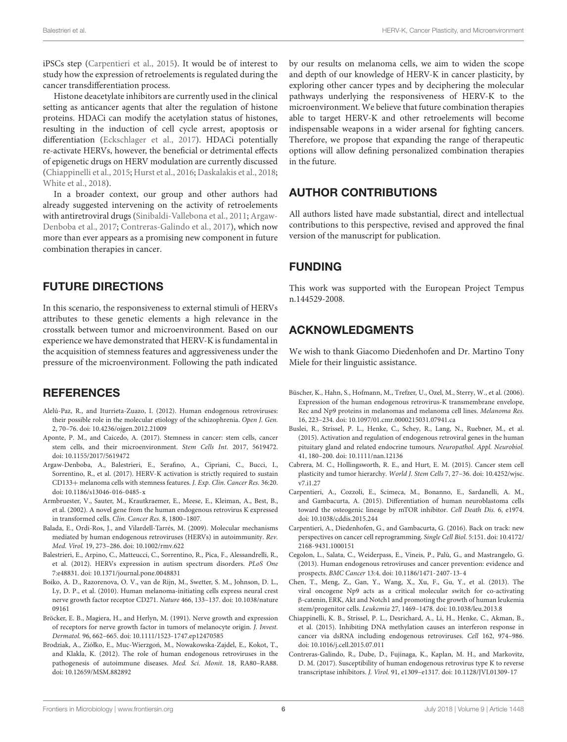iPSCs step [\(Carpentieri et al.,](#page-5-15) [2015\)](#page-5-15). It would be of interest to study how the expression of retroelements is regulated during the cancer transdifferentiation process.

Histone deacetylate inhibitors are currently used in the clinical setting as anticancer agents that alter the regulation of histone proteins. HDACi can modify the acetylation status of histones, resulting in the induction of cell cycle arrest, apoptosis or differentiation [\(Eckschlager et al.,](#page-6-37) [2017\)](#page-6-37). HDACi potentially re-activate HERVs, however, the beneficial or detrimental effects of epigenetic drugs on HERV modulation are currently discussed [\(Chiappinelli et al.,](#page-5-16) [2015;](#page-5-16) [Hurst et al.,](#page-6-38) [2016;](#page-6-38) [Daskalakis et al.,](#page-6-39) [2018;](#page-6-39) [White et al.,](#page-7-23) [2018\)](#page-7-23).

In a broader context, our group and other authors had already suggested intervening on the activity of retroelements with antiretroviral drugs [\(Sinibaldi-Vallebona et al.,](#page-7-15) [2011;](#page-7-15) [Argaw-](#page-5-9)[Denboba et al.,](#page-5-9) [2017;](#page-5-9) [Contreras-Galindo et al.,](#page-5-17) [2017\)](#page-5-17), which now more than ever appears as a promising new component in future combination therapies in cancer.

# FUTURE DIRECTIONS

In this scenario, the responsiveness to external stimuli of HERVs attributes to these genetic elements a high relevance in the crosstalk between tumor and microenvironment. Based on our experience we have demonstrated that HERV-K is fundamental in the acquisition of stemness features and aggressiveness under the pressure of the microenvironment. Following the path indicated

## **REFERENCES**

- <span id="page-5-3"></span>Alelú-Paz, R., and Iturrieta-Zuazo, I. (2012). Human endogenous retroviruses: their possible role in the molecular etiology of the schizophrenia. Open J. Gen. 2, 70–76. [doi: 10.4236/ojgen.2012.21009](https://doi.org/10.4236/ojgen.2012.21009)
- <span id="page-5-10"></span>Aponte, P. M., and Caicedo, A. (2017). Stemness in cancer: stem cells, cancer stem cells, and their microenvironment. Stem Cells Int. 2017, 5619472. [doi: 10.1155/2017/5619472](https://doi.org/10.1155/2017/5619472)
- <span id="page-5-9"></span>Argaw-Denboba, A., Balestrieri, E., Serafino, A., Cipriani, C., Bucci, I., Sorrentino, R., et al. (2017). HERV-K activation is strictly required to sustain CD133+ melanoma cells with stemness features. J. Exp. Clin. Cancer Res. 36:20. [doi: 10.1186/s13046-016-0485-x](https://doi.org/10.1186/s13046-016-0485-x)
- <span id="page-5-7"></span>Armbruester, V., Sauter, M., Krautkraemer, E., Meese, E., Kleiman, A., Best, B., et al. (2002). A novel gene from the human endogenous retrovirus K expressed in transformed cells. Clin. Cancer Res. 8, 1800–1807.
- <span id="page-5-1"></span>Balada, E., Ordi-Ros, J., and Vilardell-Tarrés, M. (2009). Molecular mechanisms mediated by human endogenous retroviruses (HERVs) in autoimmunity. Rev. Med. Virol. 19, 273–286. [doi: 10.1002/rmv.622](https://doi.org/10.1002/rmv.622)
- <span id="page-5-4"></span>Balestrieri, E., Arpino, C., Matteucci, C., Sorrentino, R., Pica, F., Alessandrelli, R., et al. (2012). HERVs expression in autism spectrum disorders. PLoS One 7:e48831. [doi: 10.1371/journal.pone.0048831](https://doi.org/10.1371/journal.pone.0048831)
- <span id="page-5-13"></span>Boiko, A. D., Razorenova, O. V., van de Rijn, M., Swetter, S. M., Johnson, D. L., Ly, D. P., et al. (2010). Human melanoma-initiating cells express neural crest nerve growth factor receptor CD271. Nature 466, 133–137. [doi: 10.1038/nature](https://doi.org/10.1038/nature09161) [09161](https://doi.org/10.1038/nature09161)
- <span id="page-5-12"></span>Bröcker, E. B., Magiera, H., and Herlyn, M. (1991). Nerve growth and expression of receptors for nerve growth factor in tumors of melanocyte origin. J. Invest. Dermatol. 96, 662–665. [doi: 10.1111/1523-1747.ep12470585](https://doi.org/10.1111/1523-1747.ep12470585)
- <span id="page-5-5"></span>Brodziak, A., Ziółko, E., Muc-Wierzgon, M., Nowakowska-Zajdel, E., Kokot, T., ´ and Klakla, K. (2012). The role of human endogenous retroviruses in the pathogenesis of autoimmune diseases. Med. Sci. Monit. 18, RA80–RA88. [doi: 10.12659/MSM.882892](https://doi.org/10.12659/MSM.882892)

by our results on melanoma cells, we aim to widen the scope and depth of our knowledge of HERV-K in cancer plasticity, by exploring other cancer types and by deciphering the molecular pathways underlying the responsiveness of HERV-K to the microenvironment. We believe that future combination therapies able to target HERV-K and other retroelements will become indispensable weapons in a wider arsenal for fighting cancers. Therefore, we propose that expanding the range of therapeutic options will allow defining personalized combination therapies in the future.

# AUTHOR CONTRIBUTIONS

All authors listed have made substantial, direct and intellectual contributions to this perspective, revised and approved the final version of the manuscript for publication.

## FUNDING

This work was supported with the European Project Tempus n.144529-2008.

# ACKNOWLEDGMENTS

We wish to thank Giacomo Diedenhofen and Dr. Martino Tony Miele for their linguistic assistance.

- <span id="page-5-8"></span>Büscher, K., Hahn, S., Hofmann, M., Trefzer, U., Ozel, M., Sterry, W., et al. (2006). Expression of the human endogenous retrovirus-K transmembrane envelope, Rec and Np9 proteins in melanomas and melanoma cell lines. Melanoma Res. 16, 223–234. [doi: 10.1097/01.cmr.0000215031.07941.ca](https://doi.org/10.1097/01.cmr.0000215031.07941.ca)
- <span id="page-5-0"></span>Buslei, R., Strissel, P. L., Henke, C., Schey, R., Lang, N., Ruebner, M., et al. (2015). Activation and regulation of endogenous retroviral genes in the human pituitary gland and related endocrine tumours. Neuropathol. Appl. Neurobiol. 41, 180–200. [doi: 10.1111/nan.12136](https://doi.org/10.1111/nan.12136)
- <span id="page-5-11"></span>Cabrera, M. C., Hollingsworth, R. E., and Hurt, E. M. (2015). Cancer stem cell plasticity and tumor hierarchy. World J. Stem Cells 7, 27–36. [doi: 10.4252/wjsc.](https://doi.org/10.4252/wjsc.v7.i1.27) [v7.i1.27](https://doi.org/10.4252/wjsc.v7.i1.27)
- <span id="page-5-15"></span>Carpentieri, A., Cozzoli, E., Scimeca, M., Bonanno, E., Sardanelli, A. M., and Gambacurta, A. (2015). Differentiation of human neuroblastoma cells toward the osteogenic lineage by mTOR inhibitor. Cell Death Dis. 6, e1974. [doi: 10.1038/cddis.2015.244](https://doi.org/10.1038/cddis.2015.244)
- <span id="page-5-14"></span>Carpentieri, A., Diedenhofen, G., and Gambacurta, G. (2016). Back on track: new perspectives on cancer cell reprogramming. Single Cell Biol. 5:151. [doi: 10.4172/](https://doi.org/10.4172/2168-9431.1000151) [2168-9431.1000151](https://doi.org/10.4172/2168-9431.1000151)
- <span id="page-5-2"></span>Cegolon, L., Salata, C., Weiderpass, E., Vineis, P., Palù, G., and Mastrangelo, G. (2013). Human endogenous retroviruses and cancer prevention: evidence and prospects. BMC Cancer 13:4. [doi: 10.1186/1471-2407-13-4](https://doi.org/10.1186/1471-2407-13-4)
- <span id="page-5-6"></span>Chen, T., Meng, Z., Gan, Y., Wang, X., Xu, F., Gu, Y., et al. (2013). The viral oncogene Np9 acts as a critical molecular switch for co-activating β-catenin, ERK, Akt and Notch1 and promoting the growth of human leukemia stem/progenitor cells. Leukemia 27, 1469–1478. [doi: 10.1038/leu.2013.8](https://doi.org/10.1038/leu.2013.8)
- <span id="page-5-16"></span>Chiappinelli, K. B., Strissel, P. L., Desrichard, A., Li, H., Henke, C., Akman, B., et al. (2015). Inhibiting DNA methylation causes an interferon response in cancer via dsRNA including endogenous retroviruses. Cell 162, 974–986. [doi: 10.1016/j.cell.2015.07.011](https://doi.org/10.1016/j.cell.2015.07.011)
- <span id="page-5-17"></span>Contreras-Galindo, R., Dube, D., Fujinaga, K., Kaplan, M. H., and Markovitz, D. M. (2017). Susceptibility of human endogenous retrovirus type K to reverse transcriptase inhibitors. J. Virol. 91, e1309–e1317. [doi: 10.1128/JVI.01309-17](https://doi.org/10.1128/JVI.01309-17)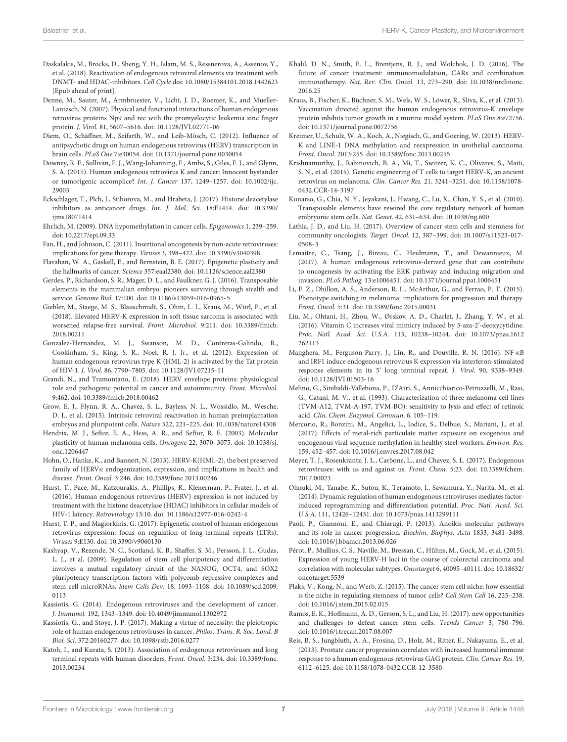- <span id="page-6-39"></span>Daskalakis, M., Brocks, D., Sheng, Y. H., Islam, M. S., Ressnerova, A., Assenov, Y., et al. (2018). Reactivation of endogenous retroviral elements via treatment with DNMT- and HDAC-inhibitors. Cell Cycle [doi: 10.1080/15384101.2018.1442623](https://doi.org/10.1080/15384101.2018.1442623) [Epub ahead of print].
- <span id="page-6-14"></span>Denne, M., Sauter, M., Armbruester, V., Licht, J. D., Roemer, K., and Mueller-Lantzsch, N. (2007). Physical and functional interactions of human endogenous retrovirus proteins Np9 and rec with the promyelocytic leukemia zinc finger protein. J. Virol. 81, 5607–5616. [doi: 10.1128/JVI.02771-06](https://doi.org/10.1128/JVI.02771-06)
- <span id="page-6-5"></span>Diem, O., Schäffner, M., Seifarth, W., and Leib-Mösch, C. (2012). Influence of antipsychotic drugs on human endogenous retrovirus (HERV) transcription in brain cells. PLoS One 7:e30054. [doi: 10.1371/journal.pone.0030054](https://doi.org/10.1371/journal.pone.0030054)
- <span id="page-6-15"></span>Downey, R. F., Sullivan, F. J., Wang-Johanning, F., Ambs, S., Giles, F. J., and Glynn, S. A. (2015). Human endogenous retrovirus K and cancer: Innocent bystander or tumorigenic accomplice? Int. J. Cancer 137, 1249–1257. [doi: 10.1002/ijc.](https://doi.org/10.1002/ijc.29003) [29003](https://doi.org/10.1002/ijc.29003)
- <span id="page-6-37"></span>Eckschlager, T., Plch, J., Stiborova, M., and Hrabeta, J. (2017). Histone deacetylase inhibitors as anticancer drugs. Int. J. Mol. Sci. 18:E1414. [doi: 10.3390/](https://doi.org/10.3390/ijms18071414) iims18071414
- <span id="page-6-31"></span>Ehrlich, M. (2009). DNA hypomethylation in cancer cells. Epigenomics 1, 239–259. [doi: 10.2217/epi.09.33](https://doi.org/10.2217/epi.09.33)
- <span id="page-6-13"></span>Fan, H., and Johnson, C. (2011). Insertional oncogenesis by non-acute retroviruses: implications for gene therapy. Viruses 3, 398–422. [doi: 10.3390/v3040398](https://doi.org/10.3390/v3040398)
- <span id="page-6-24"></span>Flavahan, W. A., Gaskell, E., and Bernstein, B. E. (2017). Epigenetic plasticity and the hallmarks of cancer. Science 357:eaal2380. [doi: 10.1126/science.aal2380](https://doi.org/10.1126/science.aal2380)
- <span id="page-6-12"></span>Gerdes, P., Richardson, S. R., Mager, D. L., and Faulkner, G. J. (2016). Transposable elements in the mammalian embryo: pioneers surviving through stealth and service. Genome Biol. 17:100. [doi: 10.1186/s13059-016-0965-5](https://doi.org/10.1186/s13059-016-0965-5)
- <span id="page-6-11"></span>Giebler, M., Staege, M. S., Blauschmidt, S., Ohm, L. I., Kraus, M., Würl, P., et al. (2018). Elevated HERV-K expression in soft tissue sarcoma is associated with worsened relapse-free survival. Front. Microbiol. 9:211. [doi: 10.3389/fmicb.](https://doi.org/10.3389/fmicb.2018.00211) [2018.00211](https://doi.org/10.3389/fmicb.2018.00211)
- <span id="page-6-8"></span>Gonzalez-Hernandez, M. J., Swanson, M. D., Contreras-Galindo, R., Cookinham, S., King, S. R., Noel, R. J. Jr., et al. (2012). Expression of human endogenous retrovirus type K (HML-2) is activated by the Tat protein of HIV-1. J. Virol. 86, 7790–7805. [doi: 10.1128/JVI.07215-11](https://doi.org/10.1128/JVI.07215-11)
- <span id="page-6-1"></span>Grandi, N., and Tramontano, E. (2018). HERV envelope proteins: physiological role and pathogenic potential in cancer and autoimmunity. Front. Microbiol. 9:462. [doi: 10.3389/fmicb.2018.00462](https://doi.org/10.3389/fmicb.2018.00462)
- <span id="page-6-21"></span>Grow, E. J., Flynn, R. A., Chavez, S. L., Bayless, N. L., Wossidlo, M., Wesche, D. J., et al. (2015). Intrinsic retroviral reactivation in human preimplantation embryos and pluripotent cells. Nature 522, 221–225. [doi: 10.1038/nature14308](https://doi.org/10.1038/nature14308)
- <span id="page-6-26"></span>Hendrix, M. J., Seftor, E. A., Hess, A. R., and Seftor, R. E. (2003). Molecular plasticity of human melanoma cells. Oncogene 22, 3070–3075. [doi: 10.1038/sj.](https://doi.org/10.1038/sj.onc.1206447) [onc.1206447](https://doi.org/10.1038/sj.onc.1206447)
- <span id="page-6-18"></span>Hohn, O., Hanke, K., and Bannert, N. (2013). HERV-K(HML-2), the best preserved family of HERVs: endogenization, expression, and implications in health and disease. Front. Oncol. 3:246. [doi: 10.3389/fonc.2013.00246](https://doi.org/10.3389/fonc.2013.00246)
- <span id="page-6-38"></span>Hurst, T., Pace, M., Katzourakis, A., Phillips, R., Klenerman, P., Frater, J., et al. (2016). Human endogenous retrovirus (HERV) expression is not induced by treatment with the histone deacetylase (HDAC) inhibitors in cellular models of HIV-1 latency. Retrovirology 13:10. [doi: 10.1186/s12977-016-0242-4](https://doi.org/10.1186/s12977-016-0242-4)
- <span id="page-6-3"></span>Hurst, T. P., and Magiorkinis, G. (2017). Epigenetic control of human endogenous retrovirus expression: focus on regulation of long-terminal repeats (LTRs). Viruses 9:E130. [doi: 10.3390/v9060130](https://doi.org/10.3390/v9060130)
- <span id="page-6-19"></span>Kashyap, V., Rezende, N. C., Scotland, K. B., Shaffer, S. M., Persson, J. L., Gudas, L. J., et al. (2009). Regulation of stem cell pluripotency and differentiation involves a mutual regulatory circuit of the NANOG, OCT4, and SOX2 pluripotency transcription factors with polycomb repressive complexes and stem cell microRNAs. Stem Cells Dev. 18, 1093–1108. [doi: 10.1089/scd.2009.](https://doi.org/10.1089/scd.2009.0113) [0113](https://doi.org/10.1089/scd.2009.0113)
- <span id="page-6-9"></span>Kassiotis, G. (2014). Endogenous retroviruses and the development of cancer. J. Immunol. 192, 1343–1349. [doi: 10.4049/jimmunol.1302972](https://doi.org/10.4049/jimmunol.1302972)
- <span id="page-6-16"></span>Kassiotis, G., and Stoye, J. P. (2017). Making a virtue of necessity: the pleiotropic role of human endogenous retroviruses in cancer. Philos. Trans. R. Soc. Lond. B Biol. Sci. 372:20160277. [doi: 10.1098/rstb.2016.0277](https://doi.org/10.1098/rstb.2016.0277)
- <span id="page-6-2"></span>Katoh, I., and Kurata, S. (2013). Association of endogenous retroviruses and long terminal repeats with human disorders. Front. Oncol. 3:234. [doi: 10.3389/fonc.](https://doi.org/10.3389/fonc.2013.00234) [2013.00234](https://doi.org/10.3389/fonc.2013.00234)
- <span id="page-6-33"></span>Khalil, D. N., Smith, E. L., Brentjens, R. J., and Wolchok, J. D. (2016). The future of cancer treatment: immunomodulation, CARs and combination immunotherapy. Nat. Rev. Clin. Oncol. 13, 273–290. [doi: 10.1038/nrclinonc.](https://doi.org/10.1038/nrclinonc.2016.25) [2016.25](https://doi.org/10.1038/nrclinonc.2016.25)
- <span id="page-6-36"></span>Kraus, B., Fischer, K., Büchner, S. M., Wels, W. S., Löwer, R., Sliva, K., et al. (2013). Vaccination directed against the human endogenous retrovirus-K envelope protein inhibits tumor growth in a murine model system. PLoS One 8:e72756. [doi: 10.1371/journal.pone.0072756](https://doi.org/10.1371/journal.pone.0072756)
- <span id="page-6-32"></span>Kreimer, U., Schulz, W. A., Koch, A., Niegisch, G., and Goering, W. (2013). HERV-K and LINE-1 DNA methylation and reexpression in urothelial carcinoma. Front. Oncol. 2013:255. [doi: 10.3389/fonc.2013.00255](https://doi.org/10.3389/fonc.2013.00255)
- <span id="page-6-34"></span>Krishnamurthy, J., Rabinovich, B. A., Mi, T., Switzer, K. C., Olivares, S., Maiti, S. N., et al. (2015). Genetic engineering of T cells to target HERV-K, an ancient retrovirus on melanoma. Clin. Cancer Res. 21, 3241–3251. [doi: 10.1158/1078-](https://doi.org/10.1158/1078-0432.CCR-14-3197) [0432.CCR-14-3197](https://doi.org/10.1158/1078-0432.CCR-14-3197)
- <span id="page-6-22"></span>Kunarso, G., Chia, N. Y., Jeyakani, J., Hwang, C., Lu, X., Chan, Y. S., et al. (2010). Transposable elements have rewired the core regulatory network of human embryonic stem cells. Nat. Genet. 42, 631–634. [doi: 10.1038/ng.600](https://doi.org/10.1038/ng.600)
- <span id="page-6-30"></span>Lathia, J. D., and Liu, H. (2017). Overview of cancer stem cells and stemness for community oncologists. Target. Oncol. 12, 387–399. [doi: 10.1007/s11523-017-](https://doi.org/10.1007/s11523-017-0508-3) [0508-3](https://doi.org/10.1007/s11523-017-0508-3)
- <span id="page-6-17"></span>Lemaître, C., Tsang, J., Bireau, C., Heidmann, T., and Dewannieux, M. (2017). A human endogenous retrovirus-derived gene that can contribute to oncogenesis by activating the ERK pathway and inducing migration and invasion. PLoS Pathog. 13:e1006451. [doi: 10.1371/journal.ppat.1006451](https://doi.org/10.1371/journal.ppat.1006451)
- <span id="page-6-27"></span>Li, F. Z., Dhillon, A. S., Anderson, R. L., McArthur, G., and Ferrao, P. T. (2015). Phenotype switching in melanoma: implications for progression and therapy. Front. Oncol. 5:31. [doi: 10.3389/fonc.2015.00031](https://doi.org/10.3389/fonc.2015.00031)
- <span id="page-6-7"></span>Liu, M., Ohtani, H., Zhou, W., Ørskov, A. D., Charlet, J., Zhang, Y. W., et al. (2016). Vitamin C increases viral mimicry induced by 5-aza-2'-deoxycytidine. Proc. Natl. Acad. Sci. U.S.A. 113, 10238–10244. [doi: 10.1073/pnas.1612](https://doi.org/10.1073/pnas.1612262113) [262113](https://doi.org/10.1073/pnas.1612262113)
- <span id="page-6-4"></span>Manghera, M., Ferguson-Parry, J., Lin, R., and Douville, R. N. (2016). NF-κB and IRF1 induce endogenous retrovirus K expression via interferon-stimulated response elements in its 5' long terminal repeat. J. Virol. 90, 9338–9349. [doi: 10.1128/JVI.01503-16](https://doi.org/10.1128/JVI.01503-16)
- <span id="page-6-28"></span>Melino, G., Sinibaldi-Vallebona, P., D'Atri, S., Annicchiarico-Petruzzelli, M., Rasi, G., Catani, M. V., et al. (1993). Characterization of three melanoma cell lines (TVM-A12, TVM-A-197, TVM-BO): sensitivity to lysis and effect of retinoic acid. Clin. Chem. Enzymol. Commun. 6, 105–119.
- <span id="page-6-6"></span>Mercorio, R., Bonzini, M., Angelici, L., Iodice, S., Delbue, S., Mariani, J., et al. (2017). Effects of metal-rich particulate matter exposure on exogenous and endogenous viral sequence methylation in healthy steel-workers. Environ. Res. 159, 452–457. [doi: 10.1016/j.envres.2017.08.042](https://doi.org/10.1016/j.envres.2017.08.042)
- <span id="page-6-0"></span>Meyer, T. J., Rosenkrantz, J. L., Carbone, L., and Chavez, S. L. (2017). Endogenous retroviruses: with us and against us. Front. Chem. 5:23. [doi: 10.3389/fchem.](https://doi.org/10.3389/fchem.2017.00023) [2017.00023](https://doi.org/10.3389/fchem.2017.00023)
- <span id="page-6-20"></span>Ohnuki, M., Tanabe, K., Sutou, K., Teramoto, I., Sawamura, Y., Narita, M., et al. (2014). Dynamic regulation of human endogenous retroviruses mediates factorinduced reprogramming and differentiation potential. Proc. Natl. Acad. Sci. U.S.A. 111, 12426–12431. [doi: 10.1073/pnas.1413299111](https://doi.org/10.1073/pnas.1413299111)
- <span id="page-6-29"></span>Paoli, P., Giannoni, E., and Chiarugi, P. (2013). Anoikis molecular pathways and its role in cancer progression. Biochim. Biophys. Acta 1833, 3481–3498. [doi: 10.1016/j.bbamcr.2013.06.026](https://doi.org/10.1016/j.bbamcr.2013.06.026)
- <span id="page-6-10"></span>Pérot, P., Mullins, C. S., Naville, M., Bressan, C., Hühns, M., Gock, M., et al. (2015). Expression of young HERV-H loci in the course of colorectal carcinoma and correlation with molecular subtypes. Oncotarget 6, 40095–40111. [doi: 10.18632/](https://doi.org/10.18632/oncotarget.5539) [oncotarget.5539](https://doi.org/10.18632/oncotarget.5539)
- <span id="page-6-25"></span>Plaks, V., Kong, N., and Werb, Z. (2015). The cancer stem cell niche: how essential is the niche in regulating stemness of tumor cells? Cell Stem Cell 16, 225–238. [doi: 10.1016/j.stem.2015.02.015](https://doi.org/10.1016/j.stem.2015.02.015)
- <span id="page-6-23"></span>Ramos, E. K., Hoffmann, A. D., Gerson, S. L., and Liu, H. (2017). new opportunities and challenges to defeat cancer stem cells. Trends Cancer 3, 780–796. [doi: 10.1016/j.trecan.2017.08.007](https://doi.org/10.1016/j.trecan.2017.08.007)
- <span id="page-6-35"></span>Reis, B. S., Jungbluth, A. A., Frosina, D., Holz, M., Ritter, E., Nakayama, E., et al. (2013). Prostate cancer progression correlates with increased humoral immune response to a human endogenous retrovirus GAG protein. Clin. Cancer Res. 19, 6112–6125. [doi: 10.1158/1078-0432.CCR-12-3580](https://doi.org/10.1158/1078-0432.CCR-12-3580)